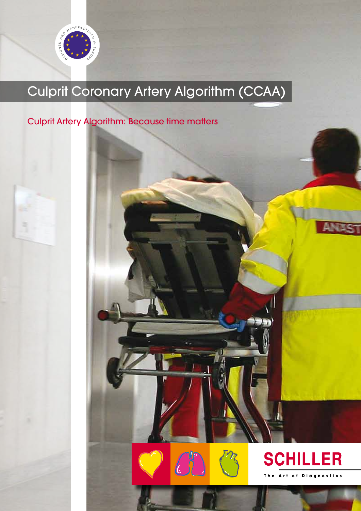

# rit Cor Culprit Coronary Artery Algorithm (CCAA)

## Culprit Artery Algorithm: Because time matters





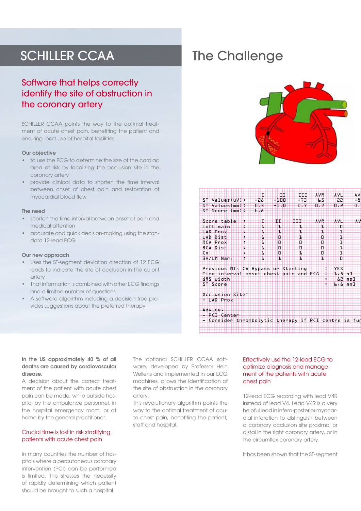## SCHILLER CCAA

## Software that helps correctly identify the site of obstruction in the coronary artery

SCHILLER CCAA points the way to the optimal treatment of acute chest pain, benefiting the patient and ensuring best use of hospital facilities.

#### Our objective

- to use the ECG to determine the size of the cardiac area at risk by localizing the occlusion site in the coronary artery
- provide clinical data to shorten the time interval between onset of chest pain and restoration of myocardial blood flow

#### The need

- shorten the time interval between onset of pain and medical attention
- accurate and quick decision-making using the standard 12-lead ECG

#### Our new approach

- Uses the ST-segment deviation direction of 12 ECG leads to indicate the site of occlusion in the culprit artery
- That information is combined with other ECG findings and a limited number of questions
- A software algorithm including a decision tree provides suggestions about the preferred therapy

## The Challenge





#### In the US approximately 40 % of all deaths are caused by cardiovascular disease.

A decision about the correct treatment of the patient with acute chest pain can be made, while outside hospital by the ambulance personnel, in the hospital emergency room, or at home by the general practitioner.

#### Crucial time is lost in risk stratifying patients with acute chest pain

In many countries the number of hospitals where a percutaneous coronary intervention (PCI) can be performed is limited. This stresses the necessity of rapidly determining which patient should be brought to such a hospital.

The optional SCHILLER CCAA software, developed by Professor Hein Wellens and implemented in our ECG machines, allows the identification of the site of obstruction in the coronary artery.

This revolutionary algorithm points the way to the optimal treatment of acute chest pain, benefiting the patient, staff and hospital.

#### Effectively use the 12-lead ECG to optimize diagnosis and management of the patients with acute chest pain

12-lead ECG recording with lead V4R instead of lead V4. Lead V4R is a very helpful lead in infero-posterior myocardial infarction to distinguish between a coronary occlusion site proximal or distal in the right coronary artery, or in the circumflex coronary artery.

It has been shown that the ST-segment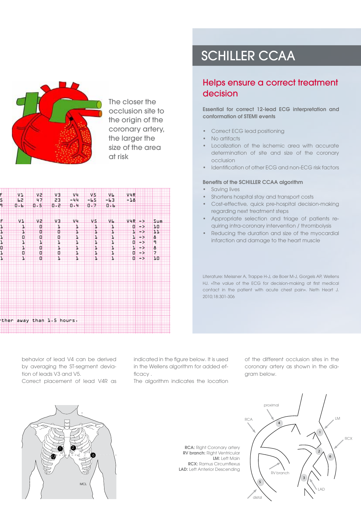

The closer the occlusion site to the origin of the coronary artery, the larger the size of the area at risk

|               | VI                        | A.  | V <sub>3</sub> | <b>WH</b> | V5             | <b>IVL</b> | VHR                          |                 |
|---------------|---------------------------|-----|----------------|-----------|----------------|------------|------------------------------|-----------------|
|               | 62                        | 47  | 23             | w 4 H     | $+1.5$         | $-13$      | $-18$                        |                 |
| $\frac{1}{4}$ |                           |     |                |           |                |            |                              |                 |
|               | $0 - 6$                   | 0.5 | $0 - 2$        | 0.4       | 0.7            | 0.6        |                              |                 |
|               |                           |     |                |           |                |            |                              |                 |
|               |                           |     |                |           |                |            |                              |                 |
|               |                           |     |                |           |                |            |                              |                 |
| f<br>1        | $V +$                     | V2. | V3             | VI.       | V <sub>5</sub> | Vb.        | $V4R \rightarrow$            | Sum             |
|               | н                         | o   | ij.            | ı.        | Щ.             | ₩          | $0$ $\rightarrow$ $\times$   | ĦФ              |
|               |                           |     |                |           |                |            |                              |                 |
| Ŧ             | ₩                         | o   | o              | Ŧ         | Ŧ              | ₩          | ₩₩                           | ĦĦ              |
|               | o                         | o   | Ð              | ₩         | т              | Ш          | HIFX                         | a.              |
|               |                           |     |                |           |                |            |                              |                 |
| $\frac{1}{1}$ | H                         | 1   | Ŧ              | H         | Ŧ              | ш          | $0$ $\rightarrow$            | 4               |
| ⊞             | H                         | o   | Ŧ              | Ŧ         | Ŧ              | H          | $\overline{1}$ $\rightarrow$ | в               |
|               |                           |     |                |           |                |            |                              | 7.              |
|               | Ð                         | O.  | Đ              | H         | ъ              | н.         | $0 \rightarrow$              |                 |
| li<br>H       | Ш                         | O   | т              | Ш         | ı              | П.         | $0 \rightarrow$              | 10 <sup>1</sup> |
|               |                           |     |                |           |                |            |                              |                 |
|               |                           |     |                |           |                |            |                              |                 |
|               |                           |     |                |           |                |            |                              |                 |
|               |                           |     |                |           |                |            |                              |                 |
|               |                           |     |                |           |                |            |                              |                 |
|               |                           |     |                |           |                |            |                              |                 |
|               |                           |     |                |           |                |            |                              |                 |
|               |                           |     |                |           |                |            |                              |                 |
|               |                           |     |                |           |                |            |                              |                 |
|               |                           |     |                |           |                |            |                              |                 |
|               |                           |     |                |           |                |            |                              |                 |
|               |                           |     |                |           |                |            |                              |                 |
|               |                           |     |                |           |                |            |                              |                 |
|               |                           |     |                |           |                |            |                              |                 |
|               |                           |     |                |           |                |            |                              |                 |
|               |                           |     |                |           |                |            |                              |                 |
|               | ther away than 1.5 hours. |     |                |           |                |            |                              |                 |
|               |                           |     |                |           |                |            |                              |                 |
|               |                           |     |                |           |                |            |                              |                 |
|               |                           |     |                |           |                |            |                              |                 |

# SCHILLER CCAA

### Helps ensure a correct treatment decision

Essential for correct 12-lead ECG interpretation and conformation of STEMI events

- Correct ECG lead positioning
- No artifacts
- Localization of the ischemic area with accurate determination of site and size of the coronary occlusion
- Identification of other ECG and non-ECG risk factors

#### Benefits of the SCHILLER CCAA algorithm

- Saving lives
- Shortens hospital stay and transport costs
- Cost-effective, quick pre-hospital decision-making regarding next treatment steps
- Appropriate selection and triage of patients requiring intra-coronary intervention / thrombolysis
- Reducing the duration and size of the myocardial infarction and damage to the heart muscle

Literature: Meissner A, Trappe H-J, de Boer M-J, Gorgels AP, Wellens HJ. «The value of the ECG for decision-making at first medical contact in the patient with acute chest pain». Neth Heart J. 2010;18:301-306

behavior of lead V4 can be derived by averaging the ST-segment deviation of leads V3 and V5. Correct placement of lead V4R as indicated in the figure below. It is used in the Wellens algorithm for added efficacy .

The algorithm indicates the location

of the different occlusion sites in the coronary artery as shown in the diagram below.



RCA: Right Coronary artery RV branch: Right Ventricular **LM:** Left Main RCX: Ramus Circumflexus LAD: Left Anterior Descending